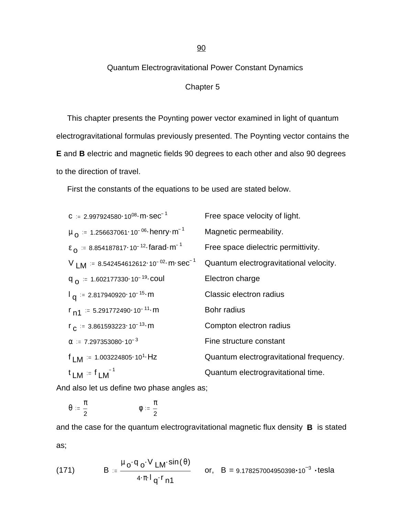### 90

# Quantum Electrogravitational Power Constant Dynamics

# Chapter 5

 This chapter presents the Poynting power vector examined in light of quantum electrogravitational formulas previously presented. The Poynting vector contains the **E** and **B** electric and magnetic fields 90 degrees to each other and also 90 degrees to the direction of travel.

First the constants of the equations to be used are stated below.

c := 2.997924580·10<sup>08</sup>·m·sec<sup>-1</sup> Free space velocity of light.  
\n
$$
\mu_{0} = 1.256637061·10^{-06}
$$
·henry·m<sup>-1</sup> Magnetic permeability.  
\n $\epsilon_{0} = 8.854187817·10^{-12}$ ·farad·m<sup>-1</sup> Free space dielectric permittivity.  
\nV LM := 8.542454612612·10<sup>-02</sup>·m·sec<sup>-1</sup> Quantum electrogravitational velocity.  
\nq<sub>0</sub> := 1.602177330·10<sup>-19</sup>·coul Electron charge  
\n $I_{q} = 2.817940920·10^{-15}$ ·m Classic electron radius  
\n $r_{n1} = 5.291772490·10^{-11}$ ·m Bohr radius  
\n $r_{c} = 3.861593223·10^{-13}$ ·m Compton electron radius  
\n $\alpha = 7.297353080·10^{-3}$  Fine structure constant  
\n $f_{LM} = 1.003224805·10-1$ ·Hz Quantum electrogravitational frequency.  
\n $t_{LM} = f_{LM}^{-1}$  Quantum electrogravitational time.

And also let us define two phase angles as;

$$
\theta\;:=\frac{\pi}{2}\qquad \qquad \varphi\;:=\frac{\pi}{2}
$$

and the case for the quantum electrogravitational magnetic flux density **B** is stated as;

(171) 
$$
B := \frac{\mu_0 \cdot q_0 \cdot V_{LM} \cdot \sin(\theta)}{4 \cdot \pi \cdot l_q \cdot r_{n1}} \quad \text{or,} \quad E
$$

or,  $B = 9.178257004950398 \cdot 10^{-3} \cdot \text{tesla}$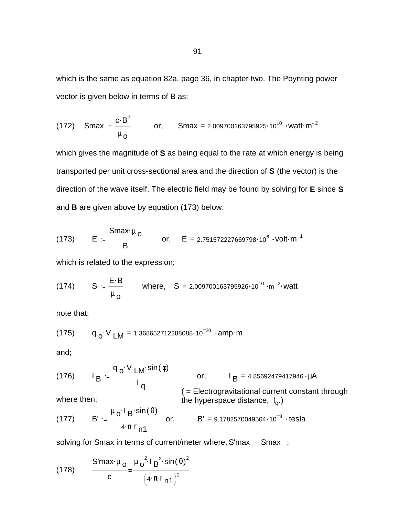which is the same as equation 82a, page 36, in chapter two. The Poynting power vector is given below in terms of B as:

(172) Smax = 
$$
\frac{c \cdot B^2}{\mu_0}
$$
 or, Smax = 2.009700163795925·10<sup>10</sup> ·watt·m<sup>-2</sup>

which gives the magnitude of **S** as being equal to the rate at which energy is being transported per unit cross-sectional area and the direction of **S** (the vector) is the direction of the wave itself. The electric field may be found by solving for **E** since **S** and **B** are given above by equation (173) below.

(173) 
$$
E := \frac{Smax \cdot \mu_0}{B}
$$
 or,  $E = 2.751572227669798 \cdot 10^6 \cdot volt \cdot m^{-1}$ 

which is related to the expression;

(174) 
$$
S := \frac{E \cdot B}{\mu_{\Omega}}
$$
 where,  $S = 2.009700163795926 \cdot 10^{10} \cdot m^{-2} \cdot watt$ 

note that;

$$
(175) \tq_0 \tV_{LM} = 1.368652712288088 \tcdot 10^{-20} \tcdot amp \cdot m
$$

and;

(176) 
$$
I_B := \frac{q_o \cdot V_{LM} \cdot \sin(\phi)}{I_q}
$$
 or,  $I_B = 4.85692479417946 \cdot \mu A$   
\nwhere then; the hyperspace distance,  $I_q$ .)  
\n(177)  $B' := \frac{\mu_o \cdot I_B \cdot \sin(\theta)}{4 \cdot \pi \cdot r_{n1}}$  or,  $B' = 9.1782570049504 \cdot 10^{-3} \cdot \text{tesla}$ 

solving for Smax in terms of current/meter where, S'max := Smax ;

(178) 
$$
\frac{S' \max \psi_0}{c} = \frac{\mu_0^2 I B^2 \sin(\theta)^2}{(4 \cdot \pi \cdot r_{n1})^2}
$$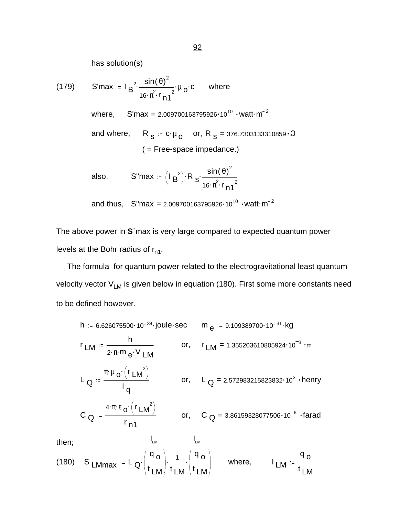has solution(s)

(179) S'max := 
$$
I_B^2 \cdot \frac{\sin(\theta)^2}{16 \cdot \pi^2 \cdot r_{n1}^2} \cdot \mu_0 \cdot c
$$
 where  
\nwhere, S'max = 2.009700163795926·10<sup>10</sup> ·watt·m<sup>-2</sup>  
\nand where, R<sub>S</sub> := c·μ<sub>O</sub> or, R<sub>S</sub> = 376.7303133310859·Ω  
\n( = Free-space impedance.)  
\nalso, S''max =  $(I_B^2)$  · R<sub>S</sub>  $\cdot \frac{\sin(\theta)^2}{16 \cdot \pi^2 \cdot r_{n1}^2}$ 

and thus, 
$$
S''max = 2.009700163795926 \cdot 10^{10} \cdot \text{watt} \cdot m^{-2}
$$

The above power in **S**`max is very large compared to expected quantum power levels at the Bohr radius of  $r_{n1}$ .

 The formula for quantum power related to the electrogravitational least quantum velocity vector  $V_{LM}$  is given below in equation (180). First some more constants need to be defined however.

h = 6.626075500·10<sup>-34</sup> joule-sec  
\n
$$
m_e
$$
 = 9.109389700·10<sup>-31</sup> kg  
\n $r_{LM}$  =  $\frac{h}{2 \cdot \pi \cdot m_e \cdot V_{LM}}$  or,  $r_{LM} = 1.355203610805924 \cdot 10^{-3} \cdot m$   
\n $L_Q = \frac{\pi \cdot \mu_o \cdot (r_{LM}^2)}{I_q}$  or,  $L_Q = 2.572983215823832 \cdot 10^3 \cdot \text{henry}$   
\n $C_Q = \frac{4 \cdot \pi \cdot \varepsilon_o \cdot (r_{LM}^2)}{r_{n1}}$  or,  $C_Q = 3.86159328077506 \cdot 10^{-6} \cdot \text{farad}$ 

then;  $I_{LM}$   $I_{LM}$ 

(180) S LMmax := L
$$
Q
$$
:  $\left(\frac{q_o}{t_{LM}}\right) \cdot \frac{1}{t_{LM}} \cdot \left(\frac{q_o}{t_{LM}}\right)$  where,  $I_{LM} = \frac{q_o}{t_{LM}}$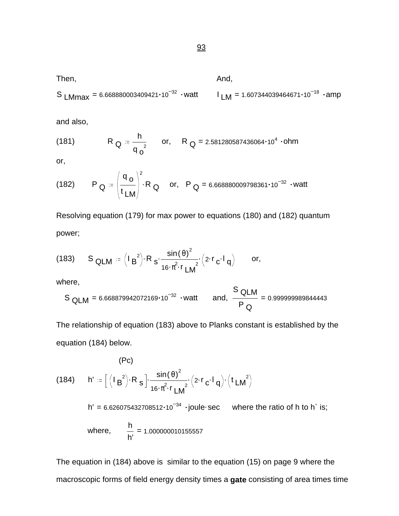S LMmax = 6.668880003409421  $\cdot$  10<sup>-32</sup>  $\cdot$  watt I  $_{LM}$  = 1.607344039464671 $\cdot$ 10<sup>-18</sup>  $\cdot$  amp

Then, And,

and also,

(181) 
$$
R_{Q} = \frac{h}{q_{o}^{2}} \quad or, \quad R_{Q} = 2.581280587436064 \cdot 10^{4} \cdot ohm
$$

or,

(182) 
$$
P_Q := \left(\frac{q_o}{t_{LM}}\right)^2 \cdot R_Q
$$
 or,  $P_Q = 6.668880009798361 \cdot 10^{-32} \cdot watt$ 

Resolving equation (179) for max power to equations (180) and (182) quantum power;

(183) 
$$
S_{QLM} = (I_B^2) \cdot R_S \cdot \frac{\sin(\theta)^2}{16 \cdot \pi^2 \cdot r_{LM}^2} \cdot (2 \cdot r_G \cdot I_q)
$$
 or,

where,

$$
S_{QLM} = 6.668879942072169 \cdot 10^{-32} \cdot \text{watt} \quad \text{and, } \frac{S_{QLM}}{P_Q} = 0.999999989844443
$$

The relationship of equation (183) above to Planks constant is established by the equation (184) below.

(184) 
$$
h' = \left[ (I_B^2) \cdot R_S \right] \cdot \frac{\sin(\theta)^2}{16 \cdot \pi^2 \cdot r} \cdot (2 \cdot r_c \cdot l_q) \cdot (t L M^2)
$$
  
\n $h' = 6.626075432708512 \cdot 10^{-34} \cdot joule \cdot sec$  where the ratio of h to  
\nwhere,  $\frac{h}{h'} = 1.000000010155557$ 

The equation in (184) above is similar to the equation (15) on page 9 where the macroscopic forms of field energy density times a **gate** consisting of area times time

 $h$  is;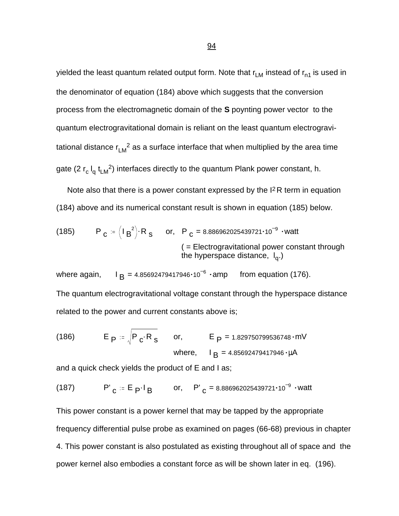yielded the least quantum related output form. Note that  $r_{LM}$  instead of  $r_{n1}$  is used in the denominator of equation (184) above which suggests that the conversion process from the electromagnetic domain of the **S** poynting power vector to the quantum electrogravitational domain is reliant on the least quantum electrogravitational distance r<sub>LM</sub><sup>2</sup> as a surface interface that when multiplied by the area time gate (2 r<sub>c</sub> l<sub>q</sub> t<sub>LM</sub><sup>2</sup>) interfaces directly to the quantum Plank power constant, h.

 Note also that there is a power constant expressed by the I2R term in equation (184) above and its numerical constant result is shown in equation (185) below.

(185) 
$$
P_C = (I_B^2) \cdot R_S
$$
 or,  $P_C = 8.886962025439721 \cdot 10^{-9} \cdot \text{watt}$   
\n( $=$  Electrogravitational power constant through  
\nthe hyperspace distance,  $I_q$ .)

where again,  $I_B = 4.85692479417946 \cdot 10^{-6} \cdot \text{amp}$  from equation (176). The quantum electrogravitational voltage constant through the hyperspace distance related to the power and current constants above is;

(186) 
$$
E_P = \sqrt{P_C \cdot R_S}
$$
 or,  $E_P = 1.829750799536748 \cdot mV$   
where,  $I_B = 4.85692479417946 \cdot \mu A$ 

and a quick check yields the product of E and I as;

(187) 
$$
P'_{C} = E_P I_B
$$
 or,  $P'_{C} = 8.886962025439721 \cdot 10^{-9} \cdot \text{watt}$ 

This power constant is a power kernel that may be tapped by the appropriate frequency differential pulse probe as examined on pages (66-68) previous in chapter 4. This power constant is also postulated as existing throughout all of space and the power kernel also embodies a constant force as will be shown later in eq. (196).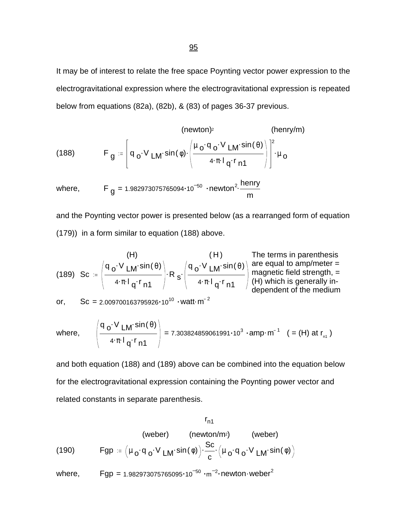It may be of interest to relate the free space Poynting vector power expression to the electrogravitational expression where the electrogravitational expression is repeated below from equations (82a), (82b), & (83) of pages 36-37 previous.

(188) (189)  
\n
$$
F_g = \left[ q_o \cdot V_{LM} \cdot \sin(\phi) \cdot \left( \frac{\mu_o \cdot q_o \cdot V_{LM} \cdot \sin(\theta)}{4 \cdot \pi \cdot l_q \cdot r_{n1}} \right) \right]^2 \cdot \mu_o
$$

where, 
$$
F_g = 1.982973075765094 \cdot 10^{-50} \cdot newton^2 \cdot \frac{henry}{m}
$$

and the Poynting vector power is presented below (as a rearranged form of equation (179)) in a form similar to equation (188) above.

(189) Sc = 
$$
\left(\frac{q_o \cdot V_{LM} \cdot \sin(\theta)}{4 \cdot \pi \cdot I_q \cdot r_{n1}}\right) \cdot R_s \cdot \left(\frac{q_o \cdot V_{LM} \cdot \sin(\theta)}{4 \cdot \pi \cdot I_q \cdot r_{n1}}\right)
$$
 are equal to amp/meter = magnetic field strength, = 4 $\pi$ ·l<sub>q</sub>·r<sub>n1</sub> (H) which is generally in-  
or, Sc = 2.009700163795926·10<sup>10</sup> ·watt·m<sup>-2</sup>

where, 
$$
\left( \frac{q_0 \cdot V_{LM} \sin(\theta)}{4 \cdot \pi \cdot 1_q \cdot r_{n1}} \right) = 7.303824859061991 \cdot 10^3 \cdot \text{amp} \cdot m^{-1}
$$
 (= (H) at  $r_{n1}$ )

and both equation (188) and (189) above can be combined into the equation below for the electrogravitational expression containing the Poynting power vector and related constants in separate parenthesis.

$$
r_{n1}
$$
\n(weber)

\n(newton/m²)

\n(weber)

\n(190)

\n
$$
Fgp := \left(\mu_o \cdot q_o \cdot V_{LM} \cdot \sin(\phi)\right) \cdot \frac{Sc}{c} \cdot \left(\mu_o \cdot q_o \cdot V_{LM} \cdot \sin(\phi)\right)
$$

where, Fgp = 1.982973075765095 $\cdot$ 10 $^{-50}$   $\cdot$ m $^{-2}$  $\cdot$ newton $\cdot$ weber $^{2}$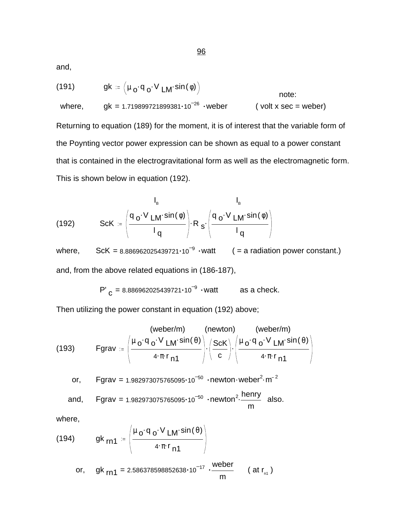and,

(191) 
$$
gk := (\mu_0 \cdot q_0 \cdot V_{LM} \cdot \sin(\phi))
$$
 note:  
where,  $gk = 1.719899721899381 \cdot 10^{-26}$   $\cdot$   $\text{weber}$  (volt x sec = weper)

Returning to equation (189) for the moment, it is of interest that the variable form of the Poynting vector power expression can be shown as equal to a power constant that is contained in the electrogravitational form as well as the electromagnetic form. This is shown below in equation (192).

(192) 
$$
\text{ScK} = \left(\frac{q_o \cdot V \ln \sin(\phi)}{I_q}\right) \cdot R_s \cdot \left(\frac{q_o \cdot V \ln \sin(\phi)}{I_q}\right)
$$

where,  $Sck = 8.886962025439721 \cdot 10^{-9} \cdot \text{watt}$  (= a radiation power constant.) and, from the above related equations in (186-187),

P' 
$$
_C
$$
 = 8.886962025439721·10<sup>-9</sup> · watt as a check.

Then utilizing the power constant in equation (192) above;

(193) 
$$
\text{Fgrav} := \left(\frac{\mu_0 \cdot q_0 \cdot V \cdot \text{Lm} \cdot \sin(\theta)}{4 \cdot \pi \cdot r_{n1}}\right) \cdot \left(\frac{\text{ScK}}{c}\right) \cdot \left(\frac{\mu_0 \cdot q_0 \cdot V \cdot \text{Lm} \cdot \sin(\theta)}{4 \cdot \pi \cdot r_{n1}}\right)
$$
\nor, 
$$
\text{Fgrav} = 1.982973075765095 \cdot 10^{-50} \cdot \text{newton} \cdot \text{weber}^2 \cdot \text{m}^{-2}
$$
\nand, 
$$
\text{Fgrav} = 1.982973075765095 \cdot 10^{-50} \cdot \text{newton}^2 \cdot \frac{\text{henry}}{\text{m}}
$$
\nalso.

where,

(194) 
$$
9k_{rn1} = \left(\frac{\mu_0 \cdot q_0 \cdot V_{LM} \cdot \sin(\theta)}{4 \cdot \pi \cdot r_{n1}}\right)
$$
  
or,  $9k_{rn1} = 2.586378598852638 \cdot 10^{-17} \cdot \frac{\text{weber}}{m}$  (at  $r_{n1}$ )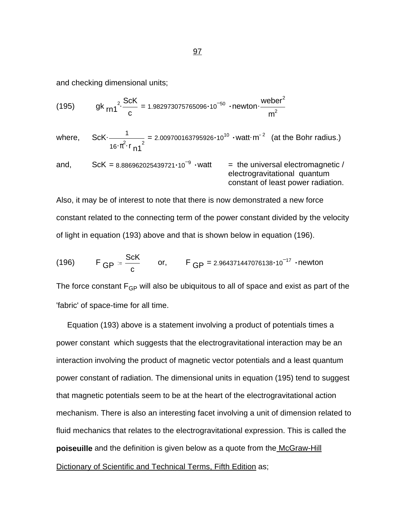and checking dimensional units;

(195) 
$$
9^k \text{rn1}^2 \cdot \frac{\text{ScK}}{c} = 1.982973075765096 \cdot 10^{-50} \cdot \text{newton} \cdot \frac{\text{weber}^2}{m^2}
$$

where,  $ScK - \frac{1}{2}$  =  $\frac{1}{16 \cdot \pi^2 \cdot r_{\text{n1}}^2}$  = 2.009700163795926 $\cdot$ 10<sup>10</sup>  $\cdot$  watt $\cdot$  m<sup>-2</sup> (at the Bohr radius.)

and, ScK = 8.886962025439721 $\cdot$ 10<sup>-9</sup>  $\cdot$ watt = the universal electromagnetic / electrogravitational quantum constant of least power radiation.

Also, it may be of interest to note that there is now demonstrated a new force constant related to the connecting term of the power constant divided by the velocity of light in equation (193) above and that is shown below in equation (196).

(196) 
$$
F_{GP} = \frac{ScK}{c}
$$
 or,  $F_{GP} = 2.964371447076138 \cdot 10^{-17}$  -newton

The force constant  $F_{GP}$  will also be ubiquitous to all of space and exist as part of the 'fabric' of space-time for all time.

 Equation (193) above is a statement involving a product of potentials times a power constant which suggests that the electrogravitational interaction may be an interaction involving the product of magnetic vector potentials and a least quantum power constant of radiation. The dimensional units in equation (195) tend to suggest that magnetic potentials seem to be at the heart of the electrogravitational action mechanism. There is also an interesting facet involving a unit of dimension related to fluid mechanics that relates to the electrogravitational expression. This is called the **poiseuille** and the definition is given below as a quote from the McGraw-Hill Dictionary of Scientific and Technical Terms, Fifth Edition as;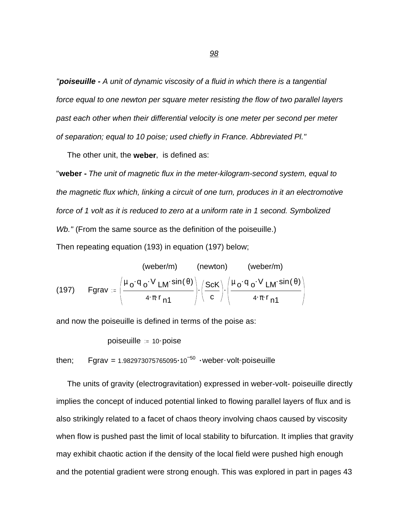*"poiseuille - A unit of dynamic viscosity of a fluid in which there is a tangential force equal to one newton per square meter resisting the flow of two parallel layers past each other when their differential velocity is one meter per second per meter of separation; equal to 10 poise; used chiefly in France. Abbreviated Pl."* 

The other unit, the **weber**, is defined as:

"**weber -** *The unit of magnetic flux in the meter-kilogram-second system, equal to the magnetic flux which, linking a circuit of one turn, produces in it an electromotive force of 1 volt as it is reduced to zero at a uniform rate in 1 second. Symbolized Wb."* (From the same source as the definition of the poiseuille.) Then repeating equation (193) in equation (197) below;

(197) (weber/m) (newton) (weber/m)  
\n(197) Fgrav := 
$$
\left(\frac{\mu_0 \cdot q_0 \cdot V_{LM} \sin(\theta)}{4 \cdot \pi \cdot r_{n1}}\right) \cdot \left(\frac{ScK}{c}\right) \cdot \left(\frac{\mu_0 \cdot q_0 \cdot V_{LM} \sin(\theta)}{4 \cdot \pi \cdot r_{n1}}\right)
$$

and now the poiseuille is defined in terms of the poise as:

$$
poiseuille = 10 \cdot poise
$$

then; 
$$
Fgrav = 1.982973075765095 \cdot 10^{-50} \cdot \text{weber-volt}
$$
 poiseuille

 The units of gravity (electrogravitation) expressed in weber-volt- poiseuille directly implies the concept of induced potential linked to flowing parallel layers of flux and is also strikingly related to a facet of chaos theory involving chaos caused by viscosity when flow is pushed past the limit of local stability to bifurcation. It implies that gravity may exhibit chaotic action if the density of the local field were pushed high enough and the potential gradient were strong enough. This was explored in part in pages 43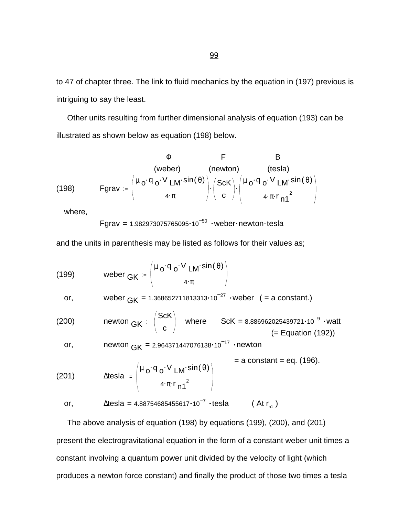to 47 of chapter three. The link to fluid mechanics by the equation in (197) previous is intriguing to say the least.

 Other units resulting from further dimensional analysis of equation (193) can be illustrated as shown below as equation (198) below.

(198) 
$$
\Phi \qquad F \qquad B
$$
  
\n(weber) (newton) (tesla)  
\n
$$
F \text{grav} := \left( \frac{\mu_0 \cdot q_0 \cdot V \text{ LM} \cdot \sin(\theta)}{4 \cdot \pi} \right) \cdot \left( \frac{\text{ScK}}{c} \right) \cdot \left( \frac{\mu_0 \cdot q_0 \cdot V \text{ LM} \cdot \sin(\theta)}{4 \cdot \pi \cdot r_{n1}^2} \right)
$$

where,

Fgrav =  $1.982973075765095 \cdot 10^{-50}$  ·weber·newton·tesla

and the units in parenthesis may be listed as follows for their values as;

(199) \tweber 
$$
GK := \left(\frac{\mu_0 \cdot q_0 \cdot V_{LM} \cdot \sin(\theta)}{4 \cdot \pi}\right)
$$

or, weber 
$$
_GK = 1.368652711813313 \cdot 10^{-27}
$$
 weber (= a constant.)

(200) 
$$
newton_{GK} = \left(\frac{ScK}{c}\right) \quad where \quad ScK = 8.886962025439721 \cdot 10^{-9} \cdot wait \quad (= Equation (192))
$$

or, 
$$
newton \, GK = 2.964371447076138 \cdot 10^{-17} \cdot newton
$$

(201) 
$$
\Delta \text{tesla} = \left( \frac{\mu_0 \cdot q_0 \cdot V \ln \sin(\theta)}{4 \cdot \pi \cdot r_{n1}^2} \right) = a \text{ constant} = \text{eq. (196)}.
$$
\n
$$
\text{or, } \Delta \text{tesla} = 4.88754685455617 \cdot 10^{-7} \cdot \text{tesla} \qquad (\text{At } r_{n1})
$$

 The above analysis of equation (198) by equations (199), (200), and (201) present the electrogravitational equation in the form of a constant weber unit times a constant involving a quantum power unit divided by the velocity of light (which produces a newton force constant) and finally the product of those two times a tesla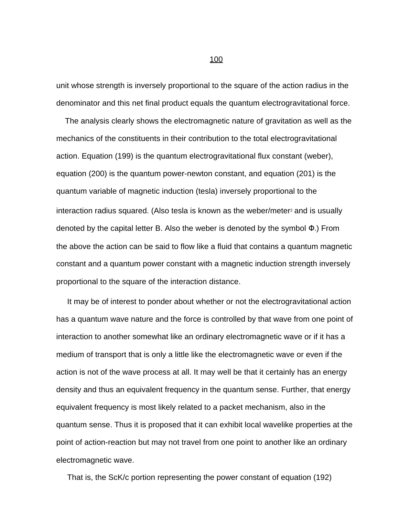unit whose strength is inversely proportional to the square of the action radius in the denominator and this net final product equals the quantum electrogravitational force.

 The analysis clearly shows the electromagnetic nature of gravitation as well as the mechanics of the constituents in their contribution to the total electrogravitational action. Equation (199) is the quantum electrogravitational flux constant (weber), equation (200) is the quantum power-newton constant, and equation (201) is the quantum variable of magnetic induction (tesla) inversely proportional to the interaction radius squared. (Also tesla is known as the weber/meter<sup>2</sup> and is usually denoted by the capital letter B. Also the weber is denoted by the symbol Φ.) From the above the action can be said to flow like a fluid that contains a quantum magnetic constant and a quantum power constant with a magnetic induction strength inversely proportional to the square of the interaction distance.

 It may be of interest to ponder about whether or not the electrogravitational action has a quantum wave nature and the force is controlled by that wave from one point of interaction to another somewhat like an ordinary electromagnetic wave or if it has a medium of transport that is only a little like the electromagnetic wave or even if the action is not of the wave process at all. It may well be that it certainly has an energy density and thus an equivalent frequency in the quantum sense. Further, that energy equivalent frequency is most likely related to a packet mechanism, also in the quantum sense. Thus it is proposed that it can exhibit local wavelike properties at the point of action-reaction but may not travel from one point to another like an ordinary electromagnetic wave.

That is, the ScK/c portion representing the power constant of equation (192)

#### <u>100</u>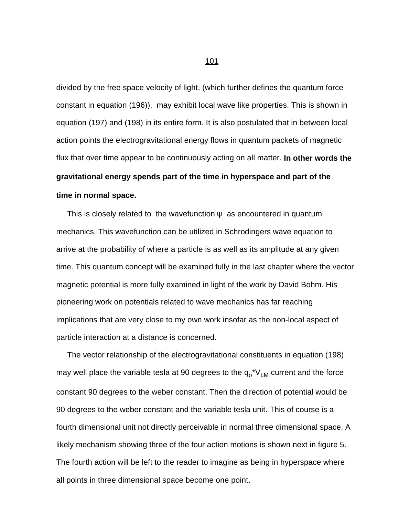divided by the free space velocity of light, (which further defines the quantum force constant in equation (196)), may exhibit local wave like properties. This is shown in equation (197) and (198) in its entire form. It is also postulated that in between local action points the electrogravitational energy flows in quantum packets of magnetic flux that over time appear to be continuously acting on all matter. **In other words the gravitational energy spends part of the time in hyperspace and part of the time in normal space.** 

This is closely related to the wavefunction  $\psi$  as encountered in quantum mechanics. This wavefunction can be utilized in Schrodingers wave equation to arrive at the probability of where a particle is as well as its amplitude at any given time. This quantum concept will be examined fully in the last chapter where the vector magnetic potential is more fully examined in light of the work by David Bohm. His pioneering work on potentials related to wave mechanics has far reaching implications that are very close to my own work insofar as the non-local aspect of particle interaction at a distance is concerned.

 The vector relationship of the electrogravitational constituents in equation (198) may well place the variable tesla at 90 degrees to the q<sub>o</sub>\*V<sub>LM</sub> current and the force constant 90 degrees to the weber constant. Then the direction of potential would be 90 degrees to the weber constant and the variable tesla unit. This of course is a fourth dimensional unit not directly perceivable in normal three dimensional space. A likely mechanism showing three of the four action motions is shown next in figure 5. The fourth action will be left to the reader to imagine as being in hyperspace where all points in three dimensional space become one point.

<u>101</u>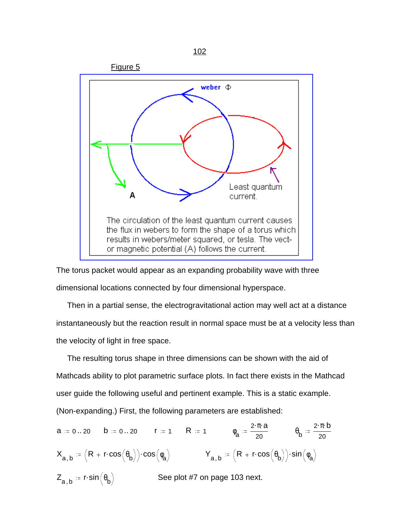

The torus packet would appear as an expanding probability wave with three dimensional locations connected by four dimensional hyperspace.

 Then in a partial sense, the electrogravitational action may well act at a distance instantaneously but the reaction result in normal space must be at a velocity less than the velocity of light in free space.

 The resulting torus shape in three dimensions can be shown with the aid of Mathcads ability to plot parametric surface plots. In fact there exists in the Mathcad user guide the following useful and pertinent example. This is a static example. (Non-expanding.) First, the following parameters are established:

 $a := 0..20$  b = 0..20 r = 1 R = 1  $\phi_a$ 2 π a 20  $\theta_{\sf b}$  $2 \cdot \pi \cdot b$ 20  $\bm{\mathsf{X}}_{\mathbf{a},\,\mathbf{b}}\coloneqq \Bigl(\bm{\mathsf{R}}+\bm{\mathsf{r}}\!\cdot\!\cos\bigl(\bm{\phi}_{\mathbf{b}}\bigr)\Bigr)\!\cdot\!\cos\bigl(\bm{\phi}_{\mathbf{a}}\bigr) \qquad\qquad \bm{\mathsf{Y}}_{\mathbf{a},\,\mathbf{b}}\coloneqq \Bigl(\bm{\mathsf{R}}+\bm{\mathsf{r}}\!\cdot\!\cos\bigl(\bm{\theta}_{\mathbf{b}}\bigr)\Bigr)\!\cdot\!\sin\bigl(\bm{\phi}_{\mathbf{a}}\bigr)$  $\mathsf{Z}_{\mathsf{a},\mathsf{b}} \coloneqq \mathsf{r} \hspace{-1.5pt} \cdot \hspace{-1.5pt} \mathsf{sin} \hspace{-1.5pt} \left( \theta_{\mathsf{b}} \right)$ See plot #7 on page 103 next.

#### 102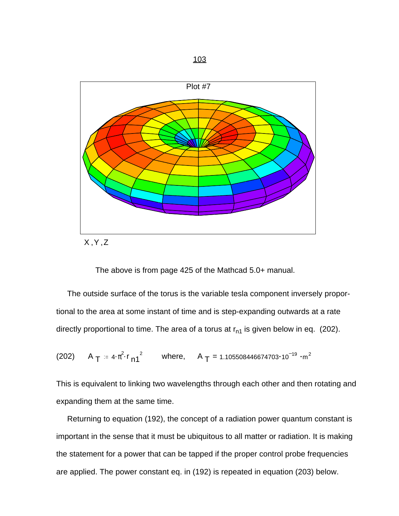



The above is from page 425 of the Mathcad 5.0+ manual.

 The outside surface of the torus is the variable tesla component inversely proportional to the area at some instant of time and is step-expanding outwards at a rate directly proportional to time. The area of a torus at  $r_{n1}$  is given below in eq. (202).

(202) A 
$$
T = 4 \cdot \pi^2 \cdot r_{n1}^2
$$
 where, A  $T = 1.105508446674703 \cdot 10^{-19} \cdot m^2$ 

This is equivalent to linking two wavelengths through each other and then rotating and expanding them at the same time.

 Returning to equation (192), the concept of a radiation power quantum constant is important in the sense that it must be ubiquitous to all matter or radiation. It is making the statement for a power that can be tapped if the proper control probe frequencies are applied. The power constant eq. in (192) is repeated in equation (203) below.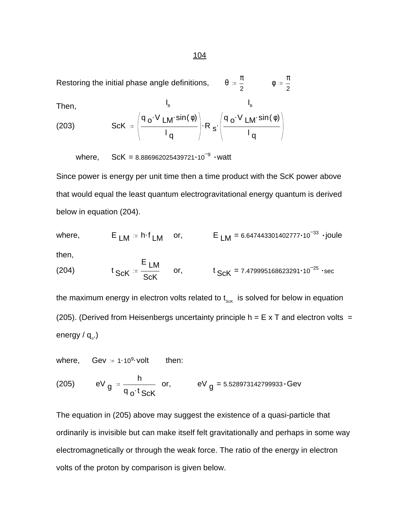Restoring the initial phase angle definitions,  $\qquad \theta = \frac{\pi}{2}$ 2 φ π 2

Then,  
\n
$$
\begin{array}{ccc}\n & I_{\mathsf{B}} & I_{\mathsf{B}} \\
(203) & \text{ScK} & = \left(\frac{q_0 \cdot V_{\mathsf{LM}} \cdot \sin(\phi)}{I_q}\right) \cdot R_s \cdot \left(\frac{q_0 \cdot V_{\mathsf{LM}} \cdot \sin(\phi)}{I_q}\right)\n\end{array}
$$

where,  $SCK = 8.886962025439721 \cdot 10^{-9}$  · watt

Since power is energy per unit time then a time product with the ScK power above that would equal the least quantum electrogravitational energy quantum is derived below in equation (204).

where,  $E_{LM} = h \cdot f_{LM}$  or,  $E_{LM} = 6.647443301402777 \cdot 10^{-33}$   $\cdot$  joule

then,

(204) 
$$
t_{ScK} = \frac{E_{LM}}{ScK}
$$
 or,  $t_{ScK} = 7.479995168623291 \cdot 10^{-25} \cdot sec$ 

the maximum energy in electron volts related to  $t_{\text{sck}}$  is solved for below in equation (205). (Derived from Heisenbergs uncertainty principle  $h = E \times T$  and electron volts = energy / q<sub>o</sub>.)

where, Gev  $= 1.10<sup>9</sup>$  volt then:

(205) 
$$
eV_g = \frac{h}{q_o \cdot t_{ScK}}
$$
 or,  $eV_g = 5.528973142799933 \cdot GeV$ 

The equation in (205) above may suggest the existence of a quasi-particle that ordinarily is invisible but can make itself felt gravitationally and perhaps in some way electromagnetically or through the weak force. The ratio of the energy in electron volts of the proton by comparison is given below.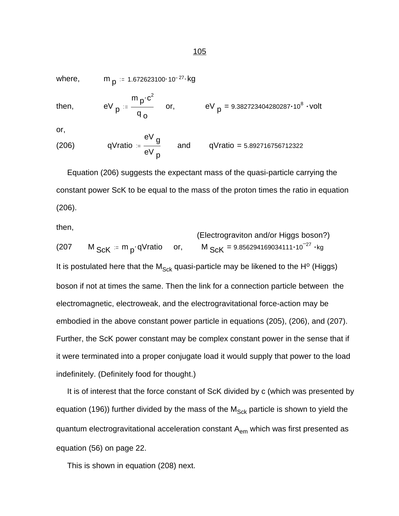where,  $m_{\text{D}} = 1.672623100 \cdot 10^{-27}$  kg

then, 
$$
eV_p = \frac{m_p \cdot c^2}{q_o}
$$
 or,  $eV_p = 9.382723404280287 \cdot 10^8 \cdot volt$ 

or,

(206) qVratio = 
$$
\frac{eV}{eV_p}
$$
 and qVratio = 5.892716756712322

 Equation (206) suggests the expectant mass of the quasi-particle carrying the constant power ScK to be equal to the mass of the proton times the ratio in equation (206).

then,

(Electrograviton and/or Higgs boson?) (207 M  $_{\rm Sck}$  = m  $_{\rm p}$  qVratio or, M  $_{\rm Sck}$  = 9.856294169034111 $\cdot$ 10<sup>-27</sup>  $\cdot$ kg It is postulated here that the  $M_{Sck}$  quasi-particle may be likened to the H<sup>o</sup> (Higgs) boson if not at times the same. Then the link for a connection particle between the electromagnetic, electroweak, and the electrogravitational force-action may be embodied in the above constant power particle in equations (205), (206), and (207). Further, the ScK power constant may be complex constant power in the sense that if it were terminated into a proper conjugate load it would supply that power to the load indefinitely. (Definitely food for thought.)

 It is of interest that the force constant of ScK divided by c (which was presented by equation (196)) further divided by the mass of the  $M_{Sck}$  particle is shown to yield the quantum electrogravitational acceleration constant  $A_{em}$  which was first presented as equation (56) on page 22.

This is shown in equation (208) next.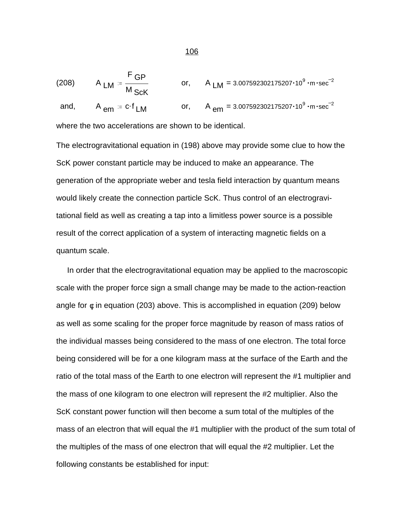(208) 
$$
A_{LM} = \frac{F_{GP}}{M_{SCK}}
$$
 or,  $A_{LM} = 3.007592302175207 \cdot 10^{9} \cdot m \cdot sec^{-2}$   
and,  $A_{em} = c \cdot f_{LM}$  or,  $A_{em} = 3.007592302175207 \cdot 10^{9} \cdot m \cdot sec^{-2}$ 

where the two accelerations are shown to be identical.

The electrogravitational equation in (198) above may provide some clue to how the ScK power constant particle may be induced to make an appearance. The generation of the appropriate weber and tesla field interaction by quantum means would likely create the connection particle ScK. Thus control of an electrogravitational field as well as creating a tap into a limitless power source is a possible result of the correct application of a system of interacting magnetic fields on a quantum scale.

 In order that the electrogravitational equation may be applied to the macroscopic scale with the proper force sign a small change may be made to the action-reaction angle for  $\phi$  in equation (203) above. This is accomplished in equation (209) below as well as some scaling for the proper force magnitude by reason of mass ratios of the individual masses being considered to the mass of one electron. The total force being considered will be for a one kilogram mass at the surface of the Earth and the ratio of the total mass of the Earth to one electron will represent the #1 multiplier and the mass of one kilogram to one electron will represent the #2 multiplier. Also the ScK constant power function will then become a sum total of the multiples of the mass of an electron that will equal the #1 multiplier with the product of the sum total of the multiples of the mass of one electron that will equal the #2 multiplier. Let the following constants be established for input: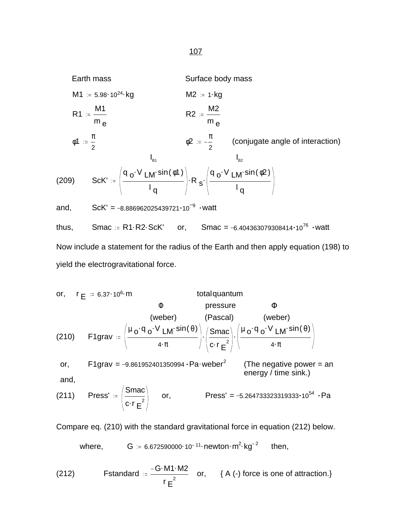Earth mass

\n
$$
M1 := 5.98 \cdot 10^{24} \cdot \text{kg}
$$
\n
$$
M2 := 1 \cdot \text{kg}
$$
\n
$$
R1 := \frac{M1}{m_e}
$$
\n
$$
R2 := \frac{M2}{m_e}
$$
\n
$$
\phi1 := \frac{\pi}{2}
$$
\n
$$
\phi2 := -\frac{\pi}{2}
$$
\n(conjugate angle of interaction)

\n
$$
I_{B1} = \frac{1}{2}
$$
\n(conjugate angle of interaction)

\n
$$
I_{B2} = \frac{1}{2}
$$
\n(conjugate angle of interaction)

\n
$$
I_{B1} = \frac{1}{2}
$$
\n(conjugate angle of interaction)

\n
$$
I_{B2} = \frac{1}{2}
$$
\n(conjugate angle of interaction)

\n
$$
I_{B1} = \frac{1}{2}
$$
\n(conjugate angle of interaction)

\n
$$
I_{B2} = \frac{1}{2}
$$
\n(conjugate angle of interaction)

\n
$$
I_{B2} = \frac{1}{2}
$$
\n(conjugate angle of interaction)

\n
$$
I_{B1} = \frac{1}{2}
$$
\n(conjugate angle of interaction)

\n
$$
I_{B2} = \frac{1}{2}
$$
\n(conjugate angle of interaction)

\n
$$
I_{B2} = \frac{1}{2}
$$
\n(conjugate angle of interaction)

\n
$$
I_{B1} = \frac{1}{2}
$$
\n(conjugate angle of interaction)

\n
$$
I_{B2} = \frac{1}{2}
$$
\n(conjugate angle of interaction)

\n
$$
I_{B2} = \frac{1}{2}
$$
\n(conjugate angle of interaction)

\n
$$
I_{B3} = \frac{1}{2}
$$
\n(conjugate angle of interaction)

\n
$$
I_{B4} = \frac{1}{2}
$$
\n(conjugate angle of interaction)

\n
$$
I_{B2} = \frac{1}{2}
$$
\n(conjugate angle of interaction)

\n
$$
I_{B2} = \frac{1}{2}
$$
\n(conjugate angle of interaction)

\n
$$
I_{B3} = \frac{1}{2}
$$
\n(conjugate angle of interaction)

or, 
$$
r_E := 6.37 \cdot 10^6 \cdot m
$$
 total quantum  
\n(210)  $F1grav := \left(\frac{\mu_0 \cdot q_0 \cdot V_{LM} \cdot sin(\theta)}{4 \cdot \pi}\right) \cdot \left(\frac{Smac}{c \cdot r_E^2}\right) \cdot \left(\frac{\mu_0 \cdot q_0 \cdot V_{LM} \cdot sin(\theta)}{4 \cdot \pi}\right)$   
\nor,  $F1grav = -9.861952401350994 \cdot Pa \cdot weber^2$  (The negative power = an  
\nand,  
\n(211) Press' :=  $\left(\frac{Smac}{c \cdot r_E^2}\right)$  or, Press' = -5.264733323319333·10<sup>54</sup> · Pa

Compare eq. (210) with the standard gravitational force in equation (212) below.

where, 
$$
G := 6.672590000 \cdot 10^{-11} \cdot newton \cdot m^2 \cdot kg^{-2}
$$
 then,

(212)  Fstandard  
$$
= \frac{-G \cdot M1 \cdot M2}{r \cdot E^2}
$$
  or,  {A (-) force is one of attraction.}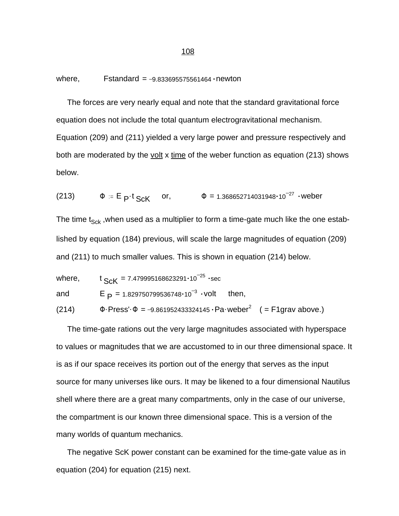where, Fstandard  $= -9.833695575561464 \cdot newton$ 

 The forces are very nearly equal and note that the standard gravitational force equation does not include the total quantum electrogravitational mechanism. Equation (209) and (211) yielded a very large power and pressure respectively and both are moderated by the volt x time of the weber function as equation (213) shows below.

(213) 
$$
\Phi = E_{P}t_{ScK}
$$
 or,  $\Phi = 1.368652714031948 \cdot 10^{-27}$  weber

The time  $t_{Sck}$ , when used as a multiplier to form a time-gate much like the one established by equation (184) previous, will scale the large magnitudes of equation (209) and (211) to much smaller values. This is shown in equation (214) below.

where,  $t_{Sck} = 7.479995168623291 \cdot 10^{-25}$  sec and  $E_P = 1.829750799536748 \cdot 10^{-3}$ then, (214)  $\Phi$ ·Press'· $\Phi$  = -9.861952433324145 · Pa·weber<sup>2</sup> ( = F1grav above.)

 The time-gate rations out the very large magnitudes associated with hyperspace to values or magnitudes that we are accustomed to in our three dimensional space. It is as if our space receives its portion out of the energy that serves as the input source for many universes like ours. It may be likened to a four dimensional Nautilus shell where there are a great many compartments, only in the case of our universe, the compartment is our known three dimensional space. This is a version of the many worlds of quantum mechanics.

 The negative ScK power constant can be examined for the time-gate value as in equation (204) for equation (215) next.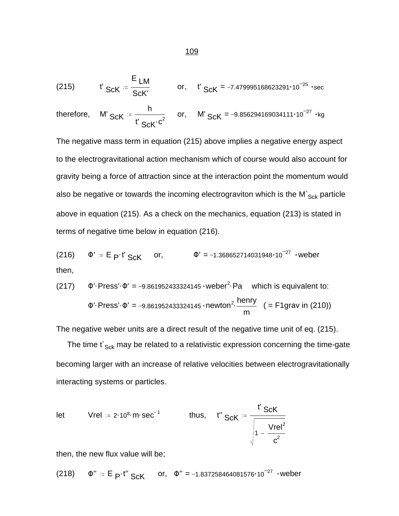(215) 
$$
t'_{SCK} = \frac{E_{LM}}{ScK'}
$$
 or,  $t'_{SCK} = -7.479995168623291 \cdot 10^{-25}$  sec

therefore, M' ScK 
$$
=\frac{h}{t' ScK' c^2}
$$
 or, M' ScK = -9.856294169034111·10<sup>-27</sup> ·kg

The negative mass term in equation (215) above implies a negative energy aspect to the electrogravitational action mechanism which of course would also account for gravity being a force of attraction since at the interaction point the momentum would also be negative or towards the incoming electrograviton which is the M $\zeta_{Sck}$  particle above in equation (215). As a check on the mechanics, equation (213) is stated in terms of negative time below in equation (216).

(216)  $\Phi' = E_P t' ScK$  or,  $\Phi' = -1.368652714031948 \cdot 10^{-27}$  weber then,

(217) 
$$
\Phi'
$$
-Press'- $\Phi'$  = -9.861952433324145 ·  
\nweber<sup>2</sup>·Pa which is equivalent to:  
\n $\Phi'$ -Press'- $\Phi'$  = -9.861952433324145 ·  
\nnewton<sup>2</sup>·henny  
\n $m$  ( = F1grav in (210))

The negative weber units are a direct result of the negative time unit of eq. (215).

The time  $t_{Sck}$  may be related to a relativistic expression concerning the time-gate becoming larger with an increase of relative velocities between electrogravitationally interacting systems or particles.

let 
$$
Vrel = 2 \cdot 10^8 \cdot m \cdot sec^{-1}
$$
 thus,  $t'' ScK = \frac{t' ScK}{\sqrt{1 - \frac{Vrel^2}{c^2}}}$ 

then, the new flux value will be;

(218)  $\Phi' = E_P \cdot t'' ScK$  or,  $\Phi'' = -1.837258464081576 \cdot 10^{-27}$  weber